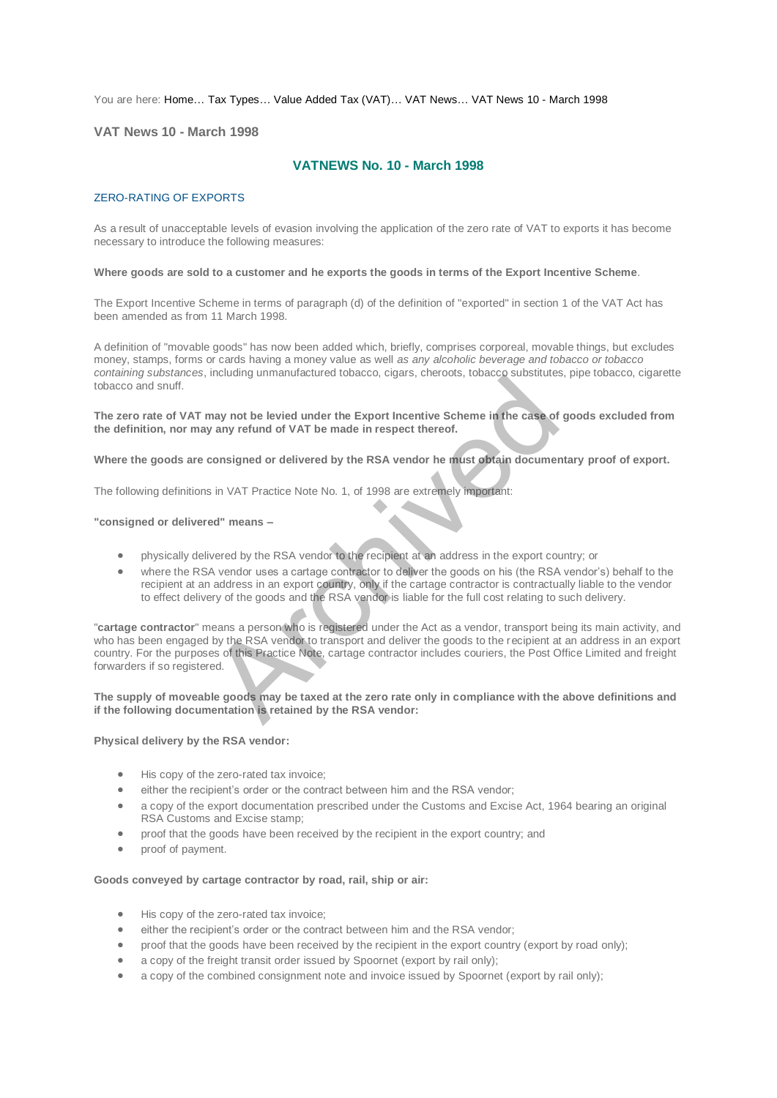You are here: [Home…](http://196.38.114.171/home.asp?pid=1) [Tax Types…](http://196.38.114.171/home.asp?pid=161) [Value Added Tax \(VAT\)…](http://196.38.114.171/home.asp?pid=194) [VAT News…](http://196.38.114.171/home.asp?pid=4722) [VAT News 10 - March 1998](http://196.38.114.171/home.asp?pid=47317) 

## **VAT News 10 - March 1998**

# **VATNEWS No. 10 - March 1998**

### ZERO-RATING OF EXPORTS

As a result of unacceptable levels of evasion involving the application of the zero rate of VAT to exports it has become necessary to introduce the following measures:

#### **Where goods are sold to a customer and he exports the goods in terms of the Export Incentive Scheme***.*

The Export Incentive Scheme in terms of paragraph (d) of the definition of "exported" in section 1 of the VAT Act has been amended as from 11 March 1998.

A definition of "movable goods" has now been added which, briefly, comprises corporeal, movable things, but excludes money, stamps, forms or cards having a money value as well *as any alcoholic beverage and tobacco or tobacco containing substances*, including unmanufactured tobacco, cigars, cheroots, tobacco substitutes, pipe tobacco, cigarette tobacco and snuff.

**The zero rate of VAT may not be levied under the Export Incentive Scheme in the case of goods excluded from the definition, nor may any refund of VAT be made in respect thereof.** 

### **Where the goods are consigned or delivered by the RSA vendor he must obtain documentary proof of export.**

The following definitions in VAT Practice Note No. 1, of 1998 are extremely important:

#### **"consigned or delivered" means –**

- physically delivered by the RSA vendor to the recipient at an address in the export country; or
- where the RSA vendor uses a cartage contractor to deliver the goods on his (the RSA vendor's) behalf to the recipient at an address in an export country, only if the cartage contractor is contractually liable to the vendor to effect delivery of the goods and the RSA vendor is liable for the full cost relating to such delivery.

"**cartage contractor**" means a person who is registered under the Act as a vendor, transport being its main activity, and who has been engaged by the RSA vendor to transport and deliver the goods to the recipient at an address in an export country. For the purposes of this Practice Note, cartage contractor includes couriers, the Post Office Limited and freight forwarders if so registered. malay not be levied under the Export Incentive Scheme in the case of<br>
any not be levied under the Export Incentive Scheme in the case of<br>
consigned or delivered by the RSA vendor he must obtain documer<br>
sin VAT Practice No

#### **The supply of moveable goods may be taxed at the zero rate only in compliance with the above definitions and if the following documentation is retained by the RSA vendor:**

#### **Physical delivery by the RSA vendor:**

- His copy of the zero-rated tax invoice;
- either the recipient's order or the contract between him and the RSA vendor;
- a copy of the export documentation prescribed under the Customs and Excise Act, 1964 bearing an original RSA Customs and Excise stamp;
- proof that the goods have been received by the recipient in the export country; and
- proof of payment.

#### **Goods conveyed by cartage contractor by road, rail, ship or air:**

- His copy of the zero-rated tax invoice;
- either the recipient's order or the contract between him and the RSA vendor;
- proof that the goods have been received by the recipient in the export country (export by road only);
- a copy of the freight transit order issued by Spoornet (export by rail only);
- a copy of the combined consignment note and invoice issued by Spoornet (export by rail only);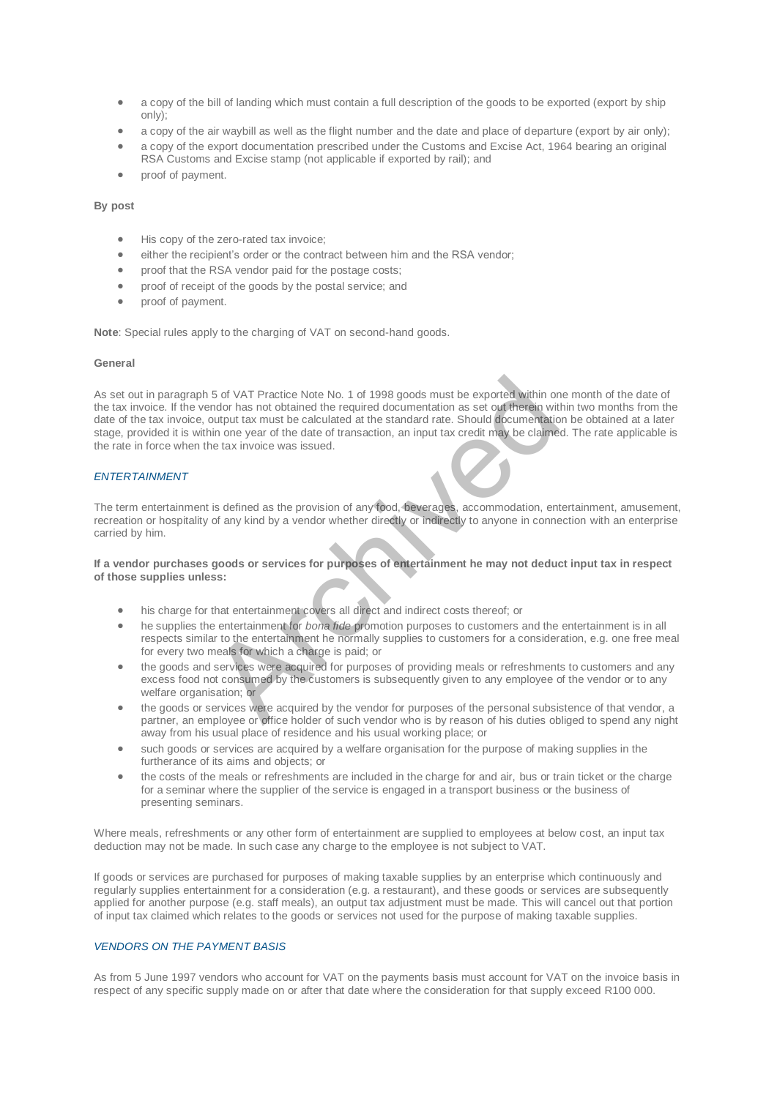- a copy of the bill of landing which must contain a full description of the goods to be exported (export by ship only);
- a copy of the air waybill as well as the flight number and the date and place of departure (export by air only); a copy of the export documentation prescribed under the Customs and Excise Act, 1964 bearing an original
- RSA Customs and Excise stamp (not applicable if exported by rail); and
- proof of payment.

## **By post**

- His copy of the zero-rated tax invoice;
- either the recipient's order or the contract between him and the RSA vendor;
- proof that the RSA vendor paid for the postage costs;
- **•** proof of receipt of the goods by the postal service; and
- proof of payment.

**Note**: Special rules apply to the charging of VAT on second-hand goods.

## **General**

As set out in paragraph 5 of VAT Practice Note No. 1 of 1998 goods must be exported within one month of the date of the tax invoice. If the vendor has not obtained the required documentation as set out therein within two months from the date of the tax invoice, output tax must be calculated at the standard rate. Should documentation be obtained at a later stage, provided it is within one year of the date of transaction, an input tax credit may be claimed. The rate applicable is the rate in force when the tax invoice was issued. 5 of VAT Practice Note No. 1 of 1998 goods must be exported within or<br>
andor has not obtained the required documentation as set out therein with<br>
output tax must be calculated at the standard rate. Should documentatio<br>
in

#### *ENTERTAINMENT*

The term entertainment is defined as the provision of any food, beverages, accommodation, entertainment, amusement, recreation or hospitality of any kind by a vendor whether directly or indirectly to anyone in connection with an enterprise carried by him.

### **If a vendor purchases goods or services for purposes of entertainment he may not deduct input tax in respect of those supplies unless:**

- his charge for that entertainment covers all direct and indirect costs thereof; or
- he supplies the entertainment for *bona fide* promotion purposes to customers and the entertainment is in all respects similar to the entertainment he normally supplies to customers for a consideration, e.g. one free meal for every two meals for which a charge is paid; or
- the goods and services were acquired for purposes of providing meals or refreshments to customers and any excess food not consumed by the customers is subsequently given to any employee of the vendor or to any welfare organisation; or
- the goods or services were acquired by the vendor for purposes of the personal subsistence of that vendor, a partner, an employee or office holder of such vendor who is by reason of his duties obliged to spend any night away from his usual place of residence and his usual working place; or
- such goods or services are acquired by a welfare organisation for the purpose of making supplies in the furtherance of its aims and objects; or
- the costs of the meals or refreshments are included in the charge for and air, bus or train ticket or the charge for a seminar where the supplier of the service is engaged in a transport business or the business of presenting seminars.

Where meals, refreshments or any other form of entertainment are supplied to employees at below cost, an input tax deduction may not be made. In such case any charge to the employee is not subject to VAT.

If goods or services are purchased for purposes of making taxable supplies by an enterprise which continuously and regularly supplies entertainment for a consideration (e.g. a restaurant), and these goods or services are subsequently applied for another purpose (e.g. staff meals), an output tax adjustment must be made. This will cancel out that portion of input tax claimed which relates to the goods or services not used for the purpose of making taxable supplies.

## *VENDORS ON THE PAYMENT BASIS*

As from 5 June 1997 vendors who account for VAT on the payments basis must account for VAT on the invoice basis in respect of any specific supply made on or after that date where the consideration for that supply exceed R100 000.